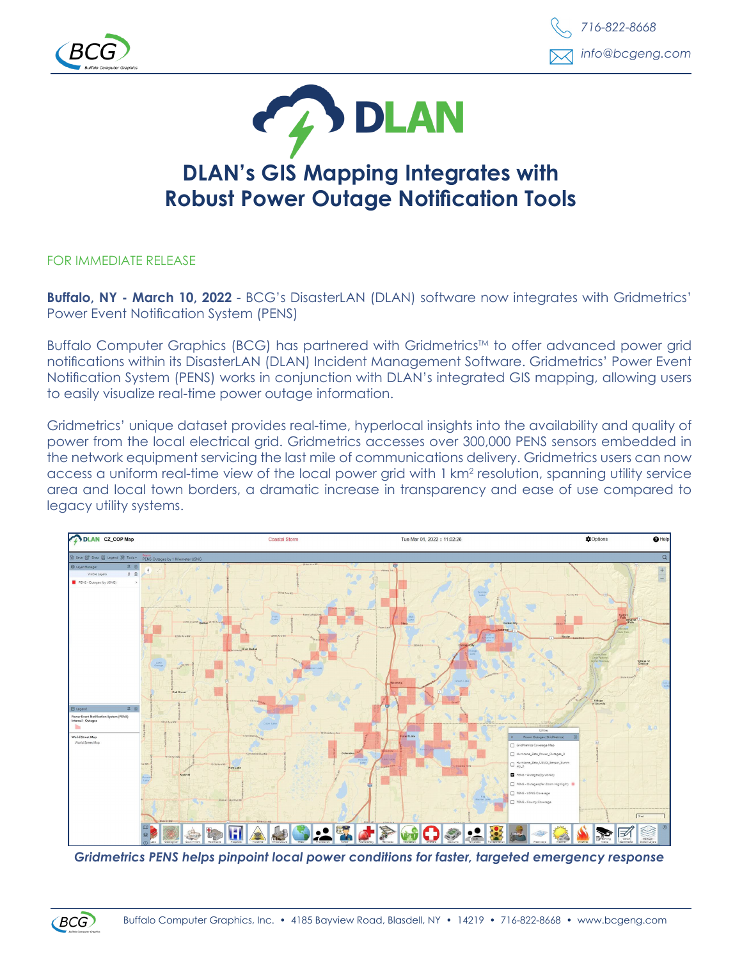





## **DLAN's GIS Mapping Integrates with Robust Power Outage Notification Tools**

FOR IMMEDIATE RELEASE

**Buffalo, NY - March 10, 2022** - BCG's DisasterLAN (DLAN) software now integrates with Gridmetrics' Power Event Notification System (PENS)

Buffalo Computer Graphics (BCG) has partnered with Gridmetrics™ to offer advanced power grid notifications within its DisasterLAN (DLAN) Incident Management Software. Gridmetrics' Power Event Notification System (PENS) works in conjunction with DLAN's integrated GIS mapping, allowing users to easily visualize real-time power outage information.

Gridmetrics' unique dataset provides real-time, hyperlocal insights into the availability and quality of power from the local electrical grid. Gridmetrics accesses over 300,000 PENS sensors embedded in the network equipment servicing the last mile of communications delivery. Gridmetrics users can now access a uniform real-time view of the local power grid with 1 km<sup>2</sup> resolution, spanning utility service area and local town borders, a dramatic increase in transparency and ease of use compared to legacy utility systems.



*Gridmetrics PENS helps pinpoint local power conditions for faster, targeted emergency response*